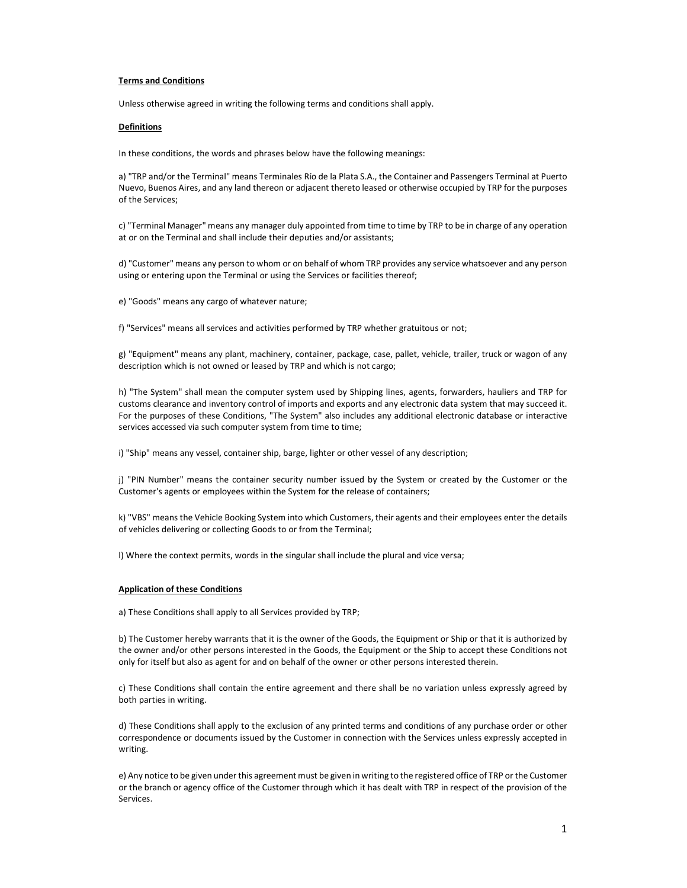# **Terms and Conditions**

Unless otherwise agreed in writing the following terms and conditions shall apply.

# **Definitions**

In these conditions, the words and phrases below have the following meanings:

a) "TRP and/or the Terminal" means Terminales Río de la Plata S.A., the Container and Passengers Terminal at Puerto Nuevo, Buenos Aires, and any land thereon or adjacent thereto leased or otherwise occupied by TRP for the purposes of the Services;

c) "Terminal Manager" means any manager duly appointed from time to time by TRP to be in charge of any operation at or on the Terminal and shall include their deputies and/or assistants;

d) "Customer" means any person to whom or on behalf of whom TRP provides any service whatsoever and any person using or entering upon the Terminal or using the Services or facilities thereof;

e) "Goods" means any cargo of whatever nature;

f) "Services" means all services and activities performed by TRP whether gratuitous or not;

g) "Equipment" means any plant, machinery, container, package, case, pallet, vehicle, trailer, truck or wagon of any description which is not owned or leased by TRP and which is not cargo;

h) "The System" shall mean the computer system used by Shipping lines, agents, forwarders, hauliers and TRP for customs clearance and inventory control of imports and exports and any electronic data system that may succeed it. For the purposes of these Conditions, "The System" also includes any additional electronic database or interactive services accessed via such computer system from time to time;

i) "Ship" means any vessel, container ship, barge, lighter or other vessel of any description;

j) "PIN Number" means the container security number issued by the System or created by the Customer or the Customer's agents or employees within the System for the release of containers;

k) "VBS" means the Vehicle Booking System into which Customers, their agents and their employees enter the details of vehicles delivering or collecting Goods to or from the Terminal;

l) Where the context permits, words in the singular shall include the plural and vice versa;

#### **Application of these Conditions**

a) These Conditions shall apply to all Services provided by TRP;

b) The Customer hereby warrants that it is the owner of the Goods, the Equipment or Ship or that it is authorized by the owner and/or other persons interested in the Goods, the Equipment or the Ship to accept these Conditions not only for itself but also as agent for and on behalf of the owner or other persons interested therein.

c) These Conditions shall contain the entire agreement and there shall be no variation unless expressly agreed by both parties in writing.

d) These Conditions shall apply to the exclusion of any printed terms and conditions of any purchase order or other correspondence or documents issued by the Customer in connection with the Services unless expressly accepted in writing.

e) Any notice to be given under this agreement must be given in writing to the registered office of TRP or the Customer or the branch or agency office of the Customer through which it has dealt with TRP in respect of the provision of the Services.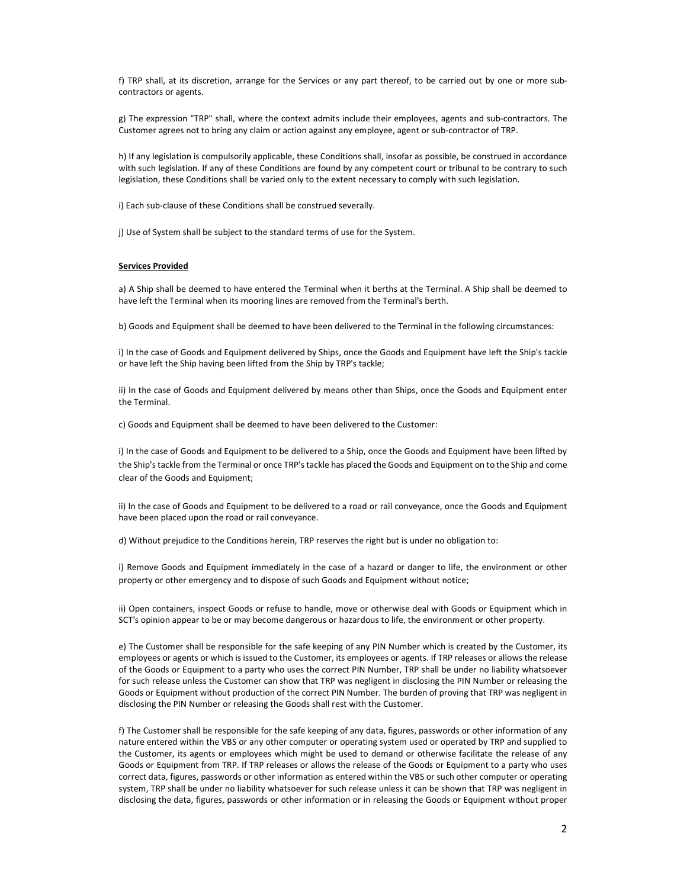f) TRP shall, at its discretion, arrange for the Services or any part thereof, to be carried out by one or more subcontractors or agents.

g) The expression "TRP" shall, where the context admits include their employees, agents and sub-contractors. The Customer agrees not to bring any claim or action against any employee, agent or sub-contractor of TRP.

h) If any legislation is compulsorily applicable, these Conditions shall, insofar as possible, be construed in accordance with such legislation. If any of these Conditions are found by any competent court or tribunal to be contrary to such legislation, these Conditions shall be varied only to the extent necessary to comply with such legislation.

i) Each sub-clause of these Conditions shall be construed severally.

j) Use of System shall be subject to the standard terms of use for the System.

## **Services Provided**

a) A Ship shall be deemed to have entered the Terminal when it berths at the Terminal. A Ship shall be deemed to have left the Terminal when its mooring lines are removed from the Terminal's berth.

b) Goods and Equipment shall be deemed to have been delivered to the Terminal in the following circumstances:

i) In the case of Goods and Equipment delivered by Ships, once the Goods and Equipment have left the Ship's tackle or have left the Ship having been lifted from the Ship by TRP's tackle;

ii) In the case of Goods and Equipment delivered by means other than Ships, once the Goods and Equipment enter the Terminal.

c) Goods and Equipment shall be deemed to have been delivered to the Customer:

i) In the case of Goods and Equipment to be delivered to a Ship, once the Goods and Equipment have been lifted by the Ship's tackle from the Terminal or once TRP's tackle has placed the Goods and Equipment on to the Ship and come clear of the Goods and Equipment;

ii) In the case of Goods and Equipment to be delivered to a road or rail conveyance, once the Goods and Equipment have been placed upon the road or rail conveyance.

d) Without prejudice to the Conditions herein, TRP reserves the right but is under no obligation to:

i) Remove Goods and Equipment immediately in the case of a hazard or danger to life, the environment or other property or other emergency and to dispose of such Goods and Equipment without notice;

ii) Open containers, inspect Goods or refuse to handle, move or otherwise deal with Goods or Equipment which in SCT's opinion appear to be or may become dangerous or hazardous to life, the environment or other property.

e) The Customer shall be responsible for the safe keeping of any PIN Number which is created by the Customer, its employees or agents or which is issued to the Customer, its employees or agents. If TRP releases or allows the release of the Goods or Equipment to a party who uses the correct PIN Number, TRP shall be under no liability whatsoever for such release unless the Customer can show that TRP was negligent in disclosing the PIN Number or releasing the Goods or Equipment without production of the correct PIN Number. The burden of proving that TRP was negligent in disclosing the PIN Number or releasing the Goods shall rest with the Customer.

f) The Customer shall be responsible for the safe keeping of any data, figures, passwords or other information of any nature entered within the VBS or any other computer or operating system used or operated by TRP and supplied to the Customer, its agents or employees which might be used to demand or otherwise facilitate the release of any Goods or Equipment from TRP. If TRP releases or allows the release of the Goods or Equipment to a party who uses correct data, figures, passwords or other information as entered within the VBS or such other computer or operating system, TRP shall be under no liability whatsoever for such release unless it can be shown that TRP was negligent in disclosing the data, figures, passwords or other information or in releasing the Goods or Equipment without proper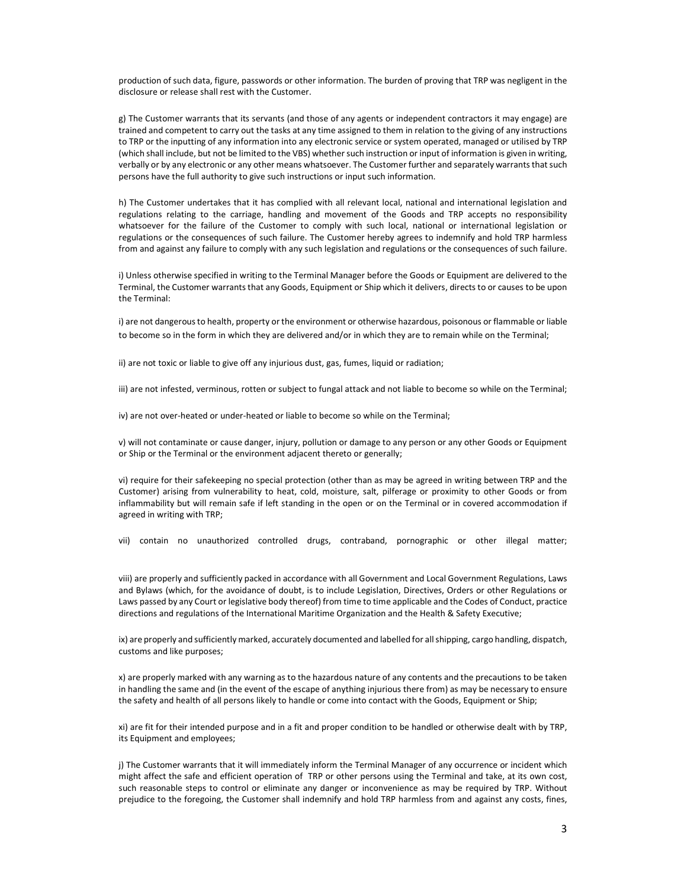production of such data, figure, passwords or other information. The burden of proving that TRP was negligent in the disclosure or release shall rest with the Customer.

g) The Customer warrants that its servants (and those of any agents or independent contractors it may engage) are trained and competent to carry out the tasks at any time assigned to them in relation to the giving of any instructions to TRP or the inputting of any information into any electronic service or system operated, managed or utilised by TRP (which shall include, but not be limited to the VBS) whether such instruction or input of information is given in writing, verbally or by any electronic or any other means whatsoever. The Customer further and separately warrants that such persons have the full authority to give such instructions or input such information.

h) The Customer undertakes that it has complied with all relevant local, national and international legislation and regulations relating to the carriage, handling and movement of the Goods and TRP accepts no responsibility whatsoever for the failure of the Customer to comply with such local, national or international legislation or regulations or the consequences of such failure. The Customer hereby agrees to indemnify and hold TRP harmless from and against any failure to comply with any such legislation and regulations or the consequences of such failure.

i) Unless otherwise specified in writing to the Terminal Manager before the Goods or Equipment are delivered to the Terminal, the Customer warrants that any Goods, Equipment or Ship which it delivers, directs to or causes to be upon the Terminal:

i) are not dangerous to health, property or the environment or otherwise hazardous, poisonous or flammable or liable to become so in the form in which they are delivered and/or in which they are to remain while on the Terminal;

ii) are not toxic or liable to give off any injurious dust, gas, fumes, liquid or radiation;

iii) are not infested, verminous, rotten or subject to fungal attack and not liable to become so while on the Terminal;

iv) are not over-heated or under-heated or liable to become so while on the Terminal;

v) will not contaminate or cause danger, injury, pollution or damage to any person or any other Goods or Equipment or Ship or the Terminal or the environment adjacent thereto or generally;

vi) require for their safekeeping no special protection (other than as may be agreed in writing between TRP and the Customer) arising from vulnerability to heat, cold, moisture, salt, pilferage or proximity to other Goods or from inflammability but will remain safe if left standing in the open or on the Terminal or in covered accommodation if agreed in writing with TRP;

vii) contain no unauthorized controlled drugs, contraband, pornographic or other illegal matter;

viii) are properly and sufficiently packed in accordance with all Government and Local Government Regulations, Laws and Bylaws (which, for the avoidance of doubt, is to include Legislation, Directives, Orders or other Regulations or Laws passed by any Court or legislative body thereof) from time to time applicable and the Codes of Conduct, practice directions and regulations of the International Maritime Organization and the Health & Safety Executive;

ix) are properly and sufficiently marked, accurately documented and labelled for all shipping, cargo handling, dispatch, customs and like purposes;

x) are properly marked with any warning as to the hazardous nature of any contents and the precautions to be taken in handling the same and (in the event of the escape of anything injurious there from) as may be necessary to ensure the safety and health of all persons likely to handle or come into contact with the Goods, Equipment or Ship;

xi) are fit for their intended purpose and in a fit and proper condition to be handled or otherwise dealt with by TRP, its Equipment and employees;

j) The Customer warrants that it will immediately inform the Terminal Manager of any occurrence or incident which might affect the safe and efficient operation of TRP or other persons using the Terminal and take, at its own cost, such reasonable steps to control or eliminate any danger or inconvenience as may be required by TRP. Without prejudice to the foregoing, the Customer shall indemnify and hold TRP harmless from and against any costs, fines,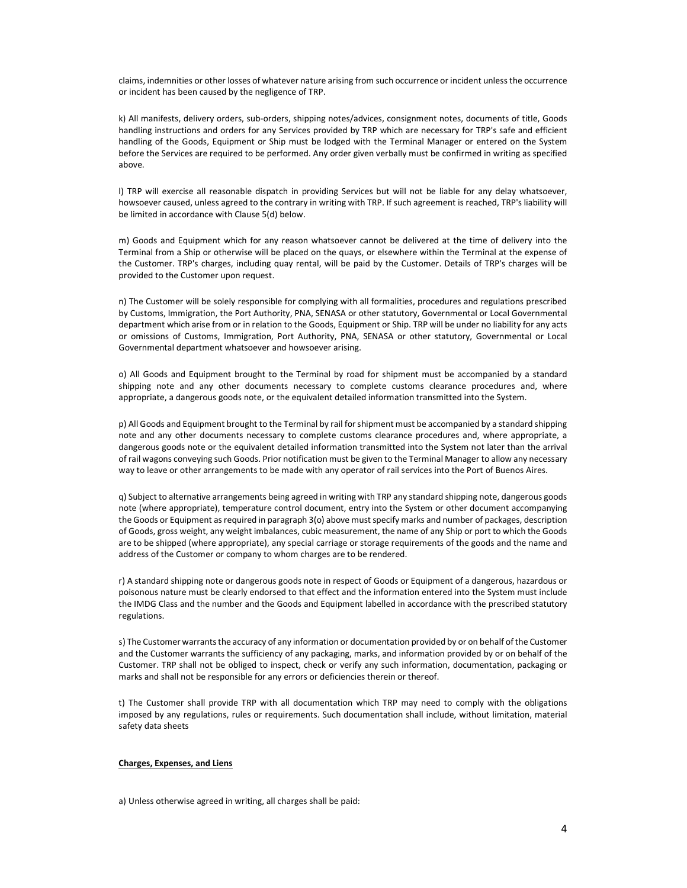claims, indemnities or other losses of whatever nature arising from such occurrence or incident unless the occurrence or incident has been caused by the negligence of TRP.

k) All manifests, delivery orders, sub-orders, shipping notes/advices, consignment notes, documents of title, Goods handling instructions and orders for any Services provided by TRP which are necessary for TRP's safe and efficient handling of the Goods, Equipment or Ship must be lodged with the Terminal Manager or entered on the System before the Services are required to be performed. Any order given verbally must be confirmed in writing as specified above.

l) TRP will exercise all reasonable dispatch in providing Services but will not be liable for any delay whatsoever, howsoever caused, unless agreed to the contrary in writing with TRP. If such agreement is reached, TRP's liability will be limited in accordance with Clause 5(d) below.

m) Goods and Equipment which for any reason whatsoever cannot be delivered at the time of delivery into the Terminal from a Ship or otherwise will be placed on the quays, or elsewhere within the Terminal at the expense of the Customer. TRP's charges, including quay rental, will be paid by the Customer. Details of TRP's charges will be provided to the Customer upon request.

n) The Customer will be solely responsible for complying with all formalities, procedures and regulations prescribed by Customs, Immigration, the Port Authority, PNA, SENASA or other statutory, Governmental or Local Governmental department which arise from or in relation to the Goods, Equipment or Ship. TRP will be under no liability for any acts or omissions of Customs, Immigration, Port Authority, PNA, SENASA or other statutory, Governmental or Local Governmental department whatsoever and howsoever arising.

o) All Goods and Equipment brought to the Terminal by road for shipment must be accompanied by a standard shipping note and any other documents necessary to complete customs clearance procedures and, where appropriate, a dangerous goods note, or the equivalent detailed information transmitted into the System.

p) All Goods and Equipment brought to the Terminal by rail for shipment must be accompanied by a standard shipping note and any other documents necessary to complete customs clearance procedures and, where appropriate, a dangerous goods note or the equivalent detailed information transmitted into the System not later than the arrival of rail wagons conveying such Goods. Prior notification must be given to the Terminal Manager to allow any necessary way to leave or other arrangements to be made with any operator of rail services into the Port of Buenos Aires.

q) Subject to alternative arrangements being agreed in writing with TRP any standard shipping note, dangerous goods note (where appropriate), temperature control document, entry into the System or other document accompanying the Goods or Equipment as required in paragraph 3(o) above must specify marks and number of packages, description of Goods, gross weight, any weight imbalances, cubic measurement, the name of any Ship or port to which the Goods are to be shipped (where appropriate), any special carriage or storage requirements of the goods and the name and address of the Customer or company to whom charges are to be rendered.

r) A standard shipping note or dangerous goods note in respect of Goods or Equipment of a dangerous, hazardous or poisonous nature must be clearly endorsed to that effect and the information entered into the System must include the IMDG Class and the number and the Goods and Equipment labelled in accordance with the prescribed statutory regulations.

s) The Customer warrants the accuracy of any information or documentation provided by or on behalf of the Customer and the Customer warrants the sufficiency of any packaging, marks, and information provided by or on behalf of the Customer. TRP shall not be obliged to inspect, check or verify any such information, documentation, packaging or marks and shall not be responsible for any errors or deficiencies therein or thereof.

t) The Customer shall provide TRP with all documentation which TRP may need to comply with the obligations imposed by any regulations, rules or requirements. Such documentation shall include, without limitation, material safety data sheets

# **Charges, Expenses, and Liens**

a) Unless otherwise agreed in writing, all charges shall be paid: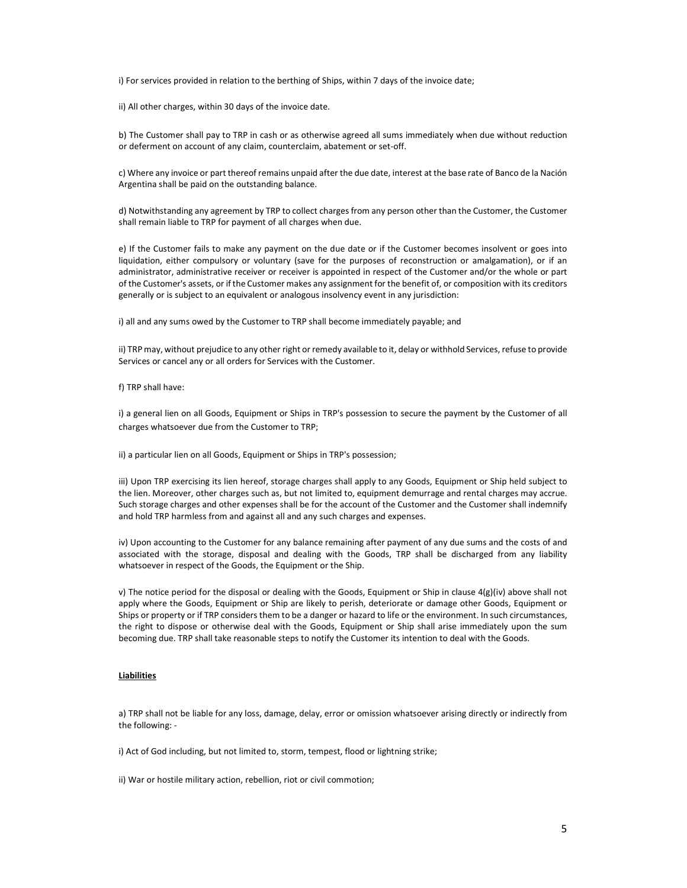i) For services provided in relation to the berthing of Ships, within 7 days of the invoice date;

ii) All other charges, within 30 days of the invoice date.

b) The Customer shall pay to TRP in cash or as otherwise agreed all sums immediately when due without reduction or deferment on account of any claim, counterclaim, abatement or set-off.

c) Where any invoice or part thereof remains unpaid after the due date, interest at the base rate of Banco de la Nación Argentina shall be paid on the outstanding balance.

d) Notwithstanding any agreement by TRP to collect charges from any person other than the Customer, the Customer shall remain liable to TRP for payment of all charges when due.

e) If the Customer fails to make any payment on the due date or if the Customer becomes insolvent or goes into liquidation, either compulsory or voluntary (save for the purposes of reconstruction or amalgamation), or if an administrator, administrative receiver or receiver is appointed in respect of the Customer and/or the whole or part of the Customer's assets, or if the Customer makes any assignment for the benefit of, or composition with its creditors generally or is subject to an equivalent or analogous insolvency event in any jurisdiction:

i) all and any sums owed by the Customer to TRP shall become immediately payable; and

ii) TRP may, without prejudice to any other right or remedy available to it, delay or withhold Services, refuse to provide Services or cancel any or all orders for Services with the Customer.

f) TRP shall have:

i) a general lien on all Goods, Equipment or Ships in TRP's possession to secure the payment by the Customer of all charges whatsoever due from the Customer to TRP;

ii) a particular lien on all Goods, Equipment or Ships in TRP's possession;

iii) Upon TRP exercising its lien hereof, storage charges shall apply to any Goods, Equipment or Ship held subject to the lien. Moreover, other charges such as, but not limited to, equipment demurrage and rental charges may accrue. Such storage charges and other expenses shall be for the account of the Customer and the Customer shall indemnify and hold TRP harmless from and against all and any such charges and expenses.

iv) Upon accounting to the Customer for any balance remaining after payment of any due sums and the costs of and associated with the storage, disposal and dealing with the Goods, TRP shall be discharged from any liability whatsoever in respect of the Goods, the Equipment or the Ship.

v) The notice period for the disposal or dealing with the Goods, Equipment or Ship in clause 4(g)(iv) above shall not apply where the Goods, Equipment or Ship are likely to perish, deteriorate or damage other Goods, Equipment or Ships or property or if TRP considers them to be a danger or hazard to life or the environment. In such circumstances, the right to dispose or otherwise deal with the Goods, Equipment or Ship shall arise immediately upon the sum becoming due. TRP shall take reasonable steps to notify the Customer its intention to deal with the Goods.

# **Liabilities**

a) TRP shall not be liable for any loss, damage, delay, error or omission whatsoever arising directly or indirectly from the following: -

i) Act of God including, but not limited to, storm, tempest, flood or lightning strike;

ii) War or hostile military action, rebellion, riot or civil commotion;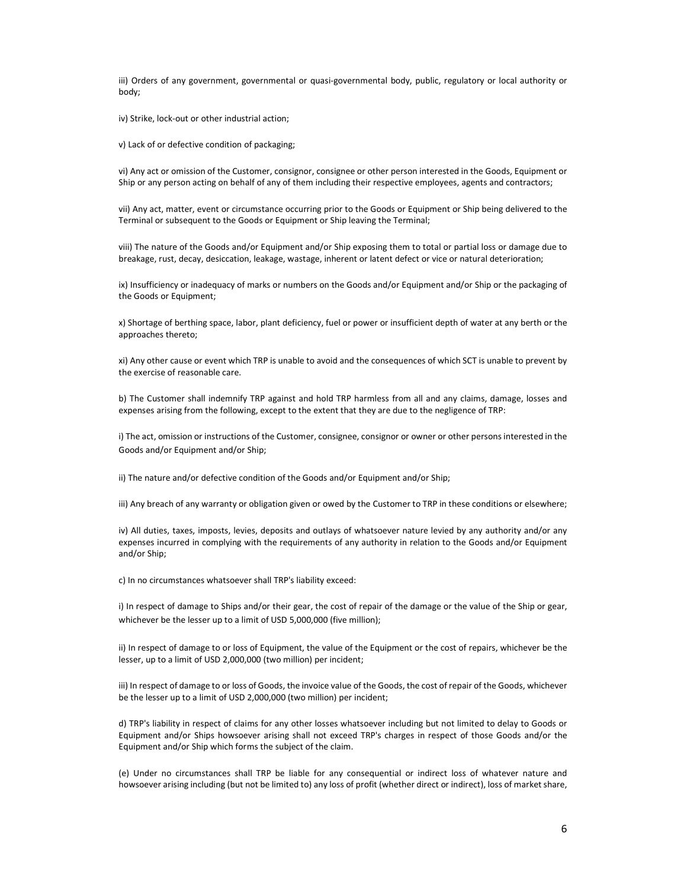iii) Orders of any government, governmental or quasi-governmental body, public, regulatory or local authority or body;

iv) Strike, lock-out or other industrial action;

v) Lack of or defective condition of packaging;

vi) Any act or omission of the Customer, consignor, consignee or other person interested in the Goods, Equipment or Ship or any person acting on behalf of any of them including their respective employees, agents and contractors;

vii) Any act, matter, event or circumstance occurring prior to the Goods or Equipment or Ship being delivered to the Terminal or subsequent to the Goods or Equipment or Ship leaving the Terminal;

viii) The nature of the Goods and/or Equipment and/or Ship exposing them to total or partial loss or damage due to breakage, rust, decay, desiccation, leakage, wastage, inherent or latent defect or vice or natural deterioration;

ix) Insufficiency or inadequacy of marks or numbers on the Goods and/or Equipment and/or Ship or the packaging of the Goods or Equipment;

x) Shortage of berthing space, labor, plant deficiency, fuel or power or insufficient depth of water at any berth or the approaches thereto;

xi) Any other cause or event which TRP is unable to avoid and the consequences of which SCT is unable to prevent by the exercise of reasonable care.

b) The Customer shall indemnify TRP against and hold TRP harmless from all and any claims, damage, losses and expenses arising from the following, except to the extent that they are due to the negligence of TRP:

i) The act, omission or instructions of the Customer, consignee, consignor or owner or other persons interested in the Goods and/or Equipment and/or Ship;

ii) The nature and/or defective condition of the Goods and/or Equipment and/or Ship;

iii) Any breach of any warranty or obligation given or owed by the Customer to TRP in these conditions or elsewhere;

iv) All duties, taxes, imposts, levies, deposits and outlays of whatsoever nature levied by any authority and/or any expenses incurred in complying with the requirements of any authority in relation to the Goods and/or Equipment and/or Ship;

c) In no circumstances whatsoever shall TRP's liability exceed:

i) In respect of damage to Ships and/or their gear, the cost of repair of the damage or the value of the Ship or gear, whichever be the lesser up to a limit of USD 5,000,000 (five million);

ii) In respect of damage to or loss of Equipment, the value of the Equipment or the cost of repairs, whichever be the lesser, up to a limit of USD 2,000,000 (two million) per incident;

iii) In respect of damage to or loss of Goods, the invoice value of the Goods, the cost of repair of the Goods, whichever be the lesser up to a limit of USD 2,000,000 (two million) per incident;

d) TRP's liability in respect of claims for any other losses whatsoever including but not limited to delay to Goods or Equipment and/or Ships howsoever arising shall not exceed TRP's charges in respect of those Goods and/or the Equipment and/or Ship which forms the subject of the claim.

(e) Under no circumstances shall TRP be liable for any consequential or indirect loss of whatever nature and howsoever arising including (but not be limited to) any loss of profit (whether direct or indirect), loss of market share,